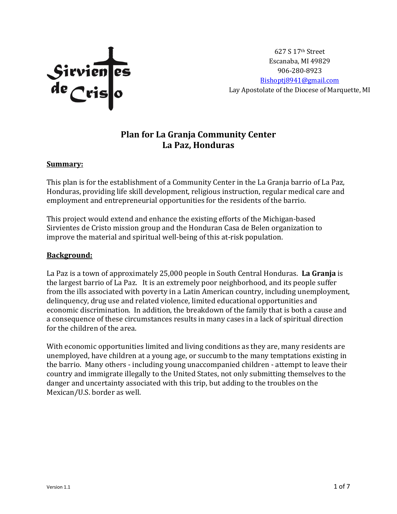

627 S 17th Street Escanaba, MI 49829 906-280-8923 [Bishoptj8941@gmail.com](mailto:Bishoptj8941@gmail.com) Lay Apostolate of the Diocese of Marquette, MI

# **Plan for La Granja Community Center La Paz, Honduras**

#### **Summary:**

This plan is for the establishment of a Community Center in the La Granja barrio of La Paz, Honduras, providing life skill development, religious instruction, regular medical care and employment and entrepreneurial opportunities for the residents of the barrio.

This project would extend and enhance the existing efforts of the Michigan-based Sirvientes de Cristo mission group and the Honduran Casa de Belen organization to improve the material and spiritual well-being of this at-risk population.

#### **Background:**

La Paz is a town of approximately 25,000 people in South Central Honduras. **La Granja** is the largest barrio of La Paz. It is an extremely poor neighborhood, and its people suffer from the ills associated with poverty in a Latin American country, including unemployment, delinquency, drug use and related violence, limited educational opportunities and economic discrimination. In addition, the breakdown of the family that is both a cause and a consequence of these circumstances results in many cases in a lack of spiritual direction for the children of the area.

With economic opportunities limited and living conditions as they are, many residents are unemployed, have children at a young age, or succumb to the many temptations existing in the barrio. Many others - including young unaccompanied children - attempt to leave their country and immigrate illegally to the United States, not only submitting themselves to the danger and uncertainty associated with this trip, but adding to the troubles on the Mexican/U.S. border as well.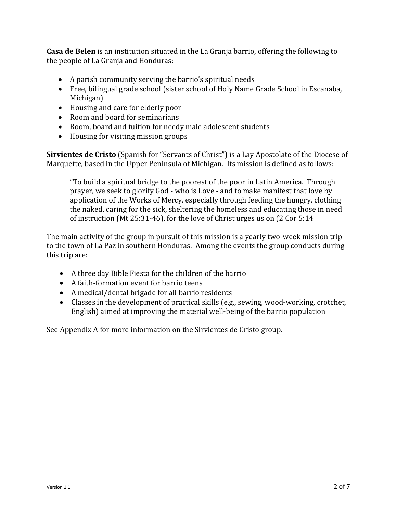**Casa de Belen** is an institution situated in the La Granja barrio, offering the following to the people of La Granja and Honduras:

- A parish community serving the barrio's spiritual needs
- Free, bilingual grade school (sister school of Holy Name Grade School in Escanaba, Michigan)
- Housing and care for elderly poor
- Room and board for seminarians
- Room, board and tuition for needy male adolescent students
- Housing for visiting mission groups

**Sirvientes de Cristo** (Spanish for "Servants of Christ") is a Lay Apostolate of the Diocese of Marquette, based in the Upper Peninsula of Michigan. Its mission is defined as follows:

"To build a spiritual bridge to the poorest of the poor in Latin America. Through prayer, we seek to glorify God - who is Love - and to make manifest that love by application of the Works of Mercy, especially through feeding the hungry, clothing the naked, caring for the sick, sheltering the homeless and educating those in need of instruction (Mt 25:31-46), for the love of Christ urges us on (2 Cor 5:14

The main activity of the group in pursuit of this mission is a yearly two-week mission trip to the town of La Paz in southern Honduras. Among the events the group conducts during this trip are:

- A three day Bible Fiesta for the children of the barrio
- A faith-formation event for barrio teens
- A medical/dental brigade for all barrio residents
- Classes in the development of practical skills (e.g., sewing, wood-working, crotchet, English) aimed at improving the material well-being of the barrio population

See Appendix A for more information on the Sirvientes de Cristo group.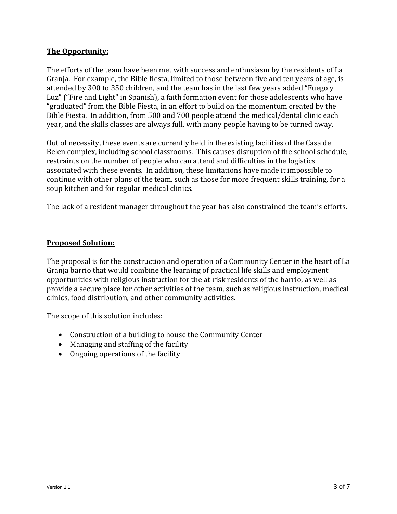#### **The Opportunity:**

The efforts of the team have been met with success and enthusiasm by the residents of La Granja. For example, the Bible fiesta, limited to those between five and ten years of age, is attended by 300 to 350 children, and the team has in the last few years added "Fuego y Luz" ("Fire and Light" in Spanish), a faith formation event for those adolescents who have "graduated" from the Bible Fiesta, in an effort to build on the momentum created by the Bible Fiesta. In addition, from 500 and 700 people attend the medical/dental clinic each year, and the skills classes are always full, with many people having to be turned away.

Out of necessity, these events are currently held in the existing facilities of the Casa de Belen complex, including school classrooms. This causes disruption of the school schedule, restraints on the number of people who can attend and difficulties in the logistics associated with these events. In addition, these limitations have made it impossible to continue with other plans of the team, such as those for more frequent skills training, for a soup kitchen and for regular medical clinics.

The lack of a resident manager throughout the year has also constrained the team's efforts.

#### **Proposed Solution:**

The proposal is for the construction and operation of a Community Center in the heart of La Granja barrio that would combine the learning of practical life skills and employment opportunities with religious instruction for the at-risk residents of the barrio, as well as provide a secure place for other activities of the team, such as religious instruction, medical clinics, food distribution, and other community activities.

The scope of this solution includes:

- Construction of a building to house the Community Center
- Managing and staffing of the facility
- Ongoing operations of the facility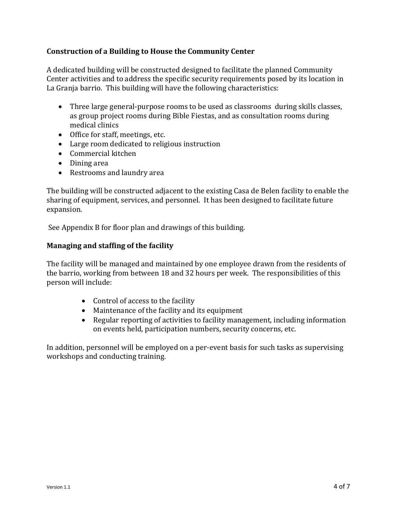# **Construction of a Building to House the Community Center**

A dedicated building will be constructed designed to facilitate the planned Community Center activities and to address the specific security requirements posed by its location in La Granja barrio. This building will have the following characteristics:

- Three large general-purpose rooms to be used as classrooms during skills classes, as group project rooms during Bible Fiestas, and as consultation rooms during medical clinics
- Office for staff, meetings, etc.
- Large room dedicated to religious instruction
- Commercial kitchen
- Dining area
- Restrooms and laundry area

The building will be constructed adjacent to the existing Casa de Belen facility to enable the sharing of equipment, services, and personnel. It has been designed to facilitate future expansion.

See Appendix B for floor plan and drawings of this building.

### **Managing and staffing of the facility**

The facility will be managed and maintained by one employee drawn from the residents of the barrio, working from between 18 and 32 hours per week. The responsibilities of this person will include:

- Control of access to the facility
- Maintenance of the facility and its equipment
- Regular reporting of activities to facility management, including information on events held, participation numbers, security concerns, etc.

In addition, personnel will be employed on a per-event basis for such tasks as supervising workshops and conducting training.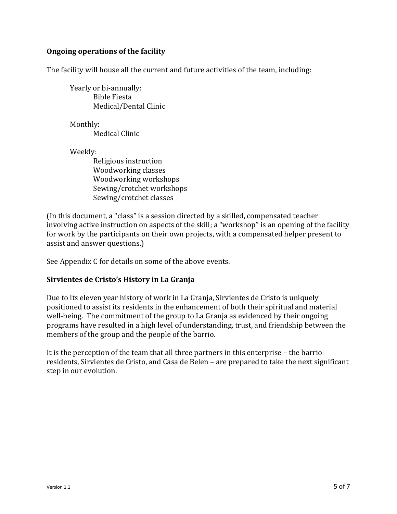### **Ongoing operations of the facility**

The facility will house all the current and future activities of the team, including:

Yearly or bi-annually: Bible Fiesta Medical/Dental Clinic

Monthly: Medical Clinic

Weekly:

Religious instruction Woodworking classes Woodworking workshops Sewing/crotchet workshops Sewing/crotchet classes

(In this document, a "class" is a session directed by a skilled, compensated teacher involving active instruction on aspects of the skill; a "workshop" is an opening of the facility for work by the participants on their own projects, with a compensated helper present to assist and answer questions.)

See Appendix C for details on some of the above events.

### **Sirvientes de Cristo's History in La Granja**

Due to its eleven year history of work in La Granja, Sirvientes de Cristo is uniquely positioned to assist its residents in the enhancement of both their spiritual and material well-being. The commitment of the group to La Granja as evidenced by their ongoing programs have resulted in a high level of understanding, trust, and friendship between the members of the group and the people of the barrio.

It is the perception of the team that all three partners in this enterprise – the barrio residents, Sirvientes de Cristo, and Casa de Belen – are prepared to take the next significant step in our evolution.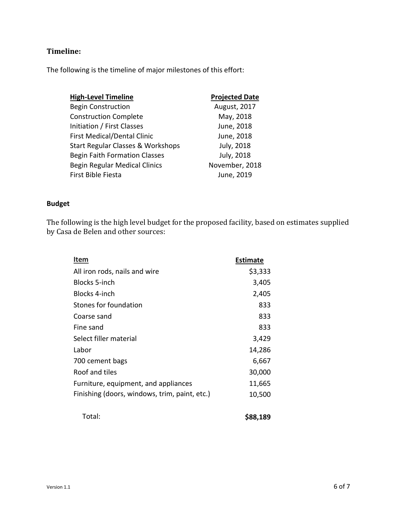# **Timeline:**

The following is the timeline of major milestones of this effort:

| <b>High-Level Timeline</b>                   | <b>Projected Date</b> |
|----------------------------------------------|-----------------------|
| <b>Begin Construction</b>                    | August, 2017          |
| <b>Construction Complete</b>                 | May, 2018             |
| Initiation / First Classes                   | June, 2018            |
| <b>First Medical/Dental Clinic</b>           | June, 2018            |
| <b>Start Regular Classes &amp; Workshops</b> | July, 2018            |
| <b>Begin Faith Formation Classes</b>         | July, 2018            |
| <b>Begin Regular Medical Clinics</b>         | November, 2018        |
| First Bible Fiesta                           | June, 2019            |

# **Budget**

The following is the high level budget for the proposed facility, based on estimates supplied by Casa de Belen and other sources:

| Item                                          | <b>Estimate</b> |
|-----------------------------------------------|-----------------|
| All iron rods, nails and wire                 | \$3,333         |
| Blocks 5-inch                                 | 3,405           |
| <b>Blocks 4-inch</b>                          | 2,405           |
| Stones for foundation                         | 833             |
| Coarse sand                                   | 833             |
| Fine sand                                     | 833             |
| Select filler material                        | 3,429           |
| Labor                                         | 14,286          |
| 700 cement bags                               | 6,667           |
| Roof and tiles                                | 30,000          |
| Furniture, equipment, and appliances          | 11,665          |
| Finishing (doors, windows, trim, paint, etc.) | 10,500          |
| Total:                                        | \$88,189        |